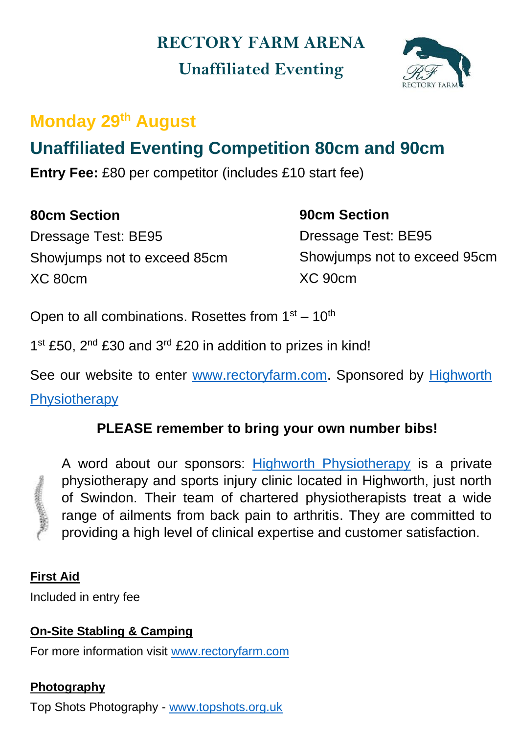## **RECTORY FARM ARENA**

**Unaffiliated Eventing**



# **Monday 29th August**

# **Unaffiliated Eventing Competition 80cm and 90cm**

**Entry Fee:** £80 per competitor (includes £10 start fee)

**80cm Section** Dressage Test: BE95 Showjumps not to exceed 85cm XC 80cm

Dressage Test: BE95 Showjumps not to exceed 95cm XC 90cm

**90cm Section**

Open to all combinations. Rosettes from  $1<sup>st</sup> - 10<sup>th</sup>$ 

1<sup>st</sup> £50, 2<sup>nd</sup> £30 and 3<sup>rd</sup> £20 in addition to prizes in kind!

See our website to enter [www.rectoryfarm.com.](http://www.rectoryfarm.com/) Sponsored by [Highworth](http://www.highworth-physio.co.uk/) 

**[Physiotherapy](http://www.highworth-physio.co.uk/)** 

## **PLEASE remember to bring your own number bibs!**



A word about our sponsors: [Highworth Physiotherapy](http://www.highworth-physio.co.uk/) is a private physiotherapy and sports injury clinic located in Highworth, just north of Swindon. Their team of chartered physiotherapists treat a wide range of ailments from back pain to arthritis. They are committed to providing a high level of clinical expertise and customer satisfaction.

## **First Aid**

Included in entry fee

## **On-Site Stabling & Camping**

For more information visit [www.rectoryfarm.com](http://www.rectoryfarm.com/)

### **Photography**

Top Shots Photography - [www.topshots.org.uk](http://www.topshots.org.uk/)